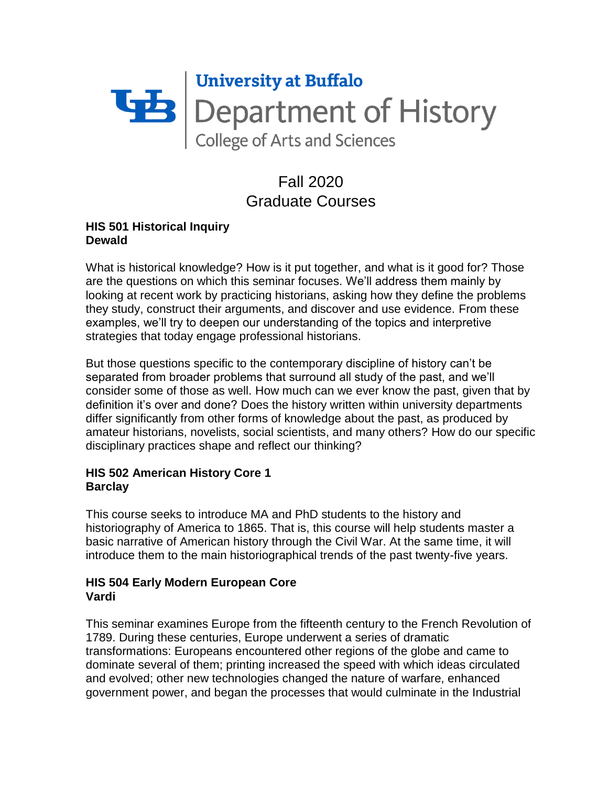

# Fall 2020 Graduate Courses

### **HIS 501 Historical Inquiry Dewald**

What is historical knowledge? How is it put together, and what is it good for? Those are the questions on which this seminar focuses. We'll address them mainly by looking at recent work by practicing historians, asking how they define the problems they study, construct their arguments, and discover and use evidence. From these examples, we'll try to deepen our understanding of the topics and interpretive strategies that today engage professional historians.

But those questions specific to the contemporary discipline of history can't be separated from broader problems that surround all study of the past, and we'll consider some of those as well. How much can we ever know the past, given that by definition it's over and done? Does the history written within university departments differ significantly from other forms of knowledge about the past, as produced by amateur historians, novelists, social scientists, and many others? How do our specific disciplinary practices shape and reflect our thinking?

# **HIS 502 American History Core 1 Barclay**

This course seeks to introduce MA and PhD students to the history and historiography of America to 1865. That is, this course will help students master a basic narrative of American history through the Civil War. At the same time, it will introduce them to the main historiographical trends of the past twenty-five years.

# **HIS 504 Early Modern European Core Vardi**

This seminar examines Europe from the fifteenth century to the French Revolution of 1789. During these centuries, Europe underwent a series of dramatic transformations: Europeans encountered other regions of the globe and came to dominate several of them; printing increased the speed with which ideas circulated and evolved; other new technologies changed the nature of warfare, enhanced government power, and began the processes that would culminate in the Industrial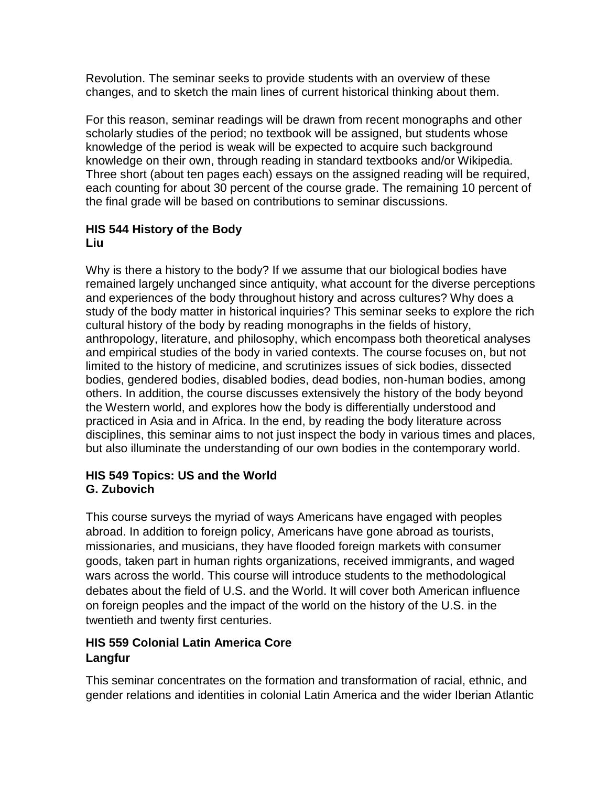Revolution. The seminar seeks to provide students with an overview of these changes, and to sketch the main lines of current historical thinking about them.

For this reason, seminar readings will be drawn from recent monographs and other scholarly studies of the period; no textbook will be assigned, but students whose knowledge of the period is weak will be expected to acquire such background knowledge on their own, through reading in standard textbooks and/or Wikipedia. Three short (about ten pages each) essays on the assigned reading will be required, each counting for about 30 percent of the course grade. The remaining 10 percent of the final grade will be based on contributions to seminar discussions.

#### **HIS 544 History of the Body Liu**

Why is there a history to the body? If we assume that our biological bodies have remained largely unchanged since antiquity, what account for the diverse perceptions and experiences of the body throughout history and across cultures? Why does a study of the body matter in historical inquiries? This seminar seeks to explore the rich cultural history of the body by reading monographs in the fields of history, anthropology, literature, and philosophy, which encompass both theoretical analyses and empirical studies of the body in varied contexts. The course focuses on, but not limited to the history of medicine, and scrutinizes issues of sick bodies, dissected bodies, gendered bodies, disabled bodies, dead bodies, non-human bodies, among others. In addition, the course discusses extensively the history of the body beyond the Western world, and explores how the body is differentially understood and practiced in Asia and in Africa. In the end, by reading the body literature across disciplines, this seminar aims to not just inspect the body in various times and places, but also illuminate the understanding of our own bodies in the contemporary world.

#### **HIS 549 Topics: US and the World G. Zubovich**

This course surveys the myriad of ways Americans have engaged with peoples abroad. In addition to foreign policy, Americans have gone abroad as tourists, missionaries, and musicians, they have flooded foreign markets with consumer goods, taken part in human rights organizations, received immigrants, and waged wars across the world. This course will introduce students to the methodological debates about the field of U.S. and the World. It will cover both American influence on foreign peoples and the impact of the world on the history of the U.S. in the twentieth and twenty first centuries.

# **HIS 559 Colonial Latin America Core Langfur**

This seminar concentrates on the formation and transformation of racial, ethnic, and gender relations and identities in colonial Latin America and the wider Iberian Atlantic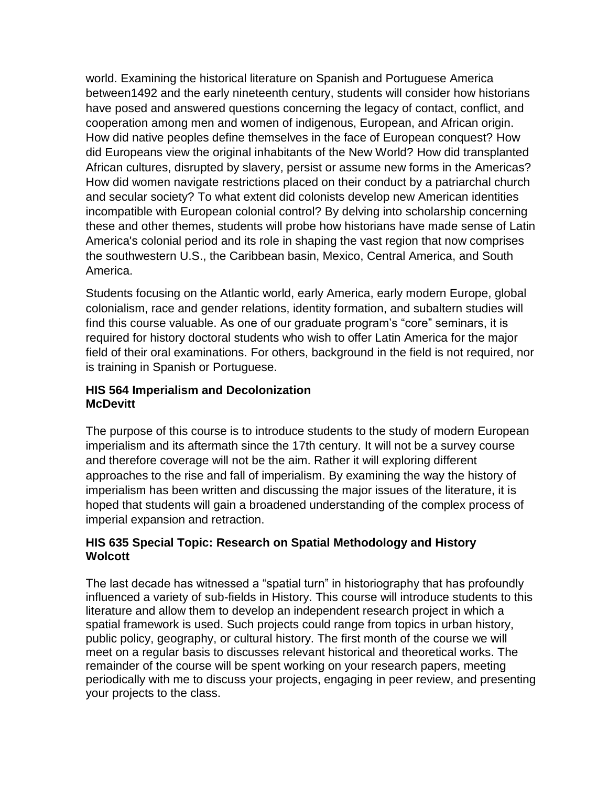world. Examining the historical literature on Spanish and Portuguese America between1492 and the early nineteenth century, students will consider how historians have posed and answered questions concerning the legacy of contact, conflict, and cooperation among men and women of indigenous, European, and African origin. How did native peoples define themselves in the face of European conquest? How did Europeans view the original inhabitants of the New World? How did transplanted African cultures, disrupted by slavery, persist or assume new forms in the Americas? How did women navigate restrictions placed on their conduct by a patriarchal church and secular society? To what extent did colonists develop new American identities incompatible with European colonial control? By delving into scholarship concerning these and other themes, students will probe how historians have made sense of Latin America's colonial period and its role in shaping the vast region that now comprises the southwestern U.S., the Caribbean basin, Mexico, Central America, and South America.

Students focusing on the Atlantic world, early America, early modern Europe, global colonialism, race and gender relations, identity formation, and subaltern studies will find this course valuable. As one of our graduate program's "core" seminars, it is required for history doctoral students who wish to offer Latin America for the major field of their oral examinations. For others, background in the field is not required, nor is training in Spanish or Portuguese.

#### **HIS 564 Imperialism and Decolonization McDevitt**

The purpose of this course is to introduce students to the study of modern European imperialism and its aftermath since the 17th century. It will not be a survey course and therefore coverage will not be the aim. Rather it will exploring different approaches to the rise and fall of imperialism. By examining the way the history of imperialism has been written and discussing the major issues of the literature, it is hoped that students will gain a broadened understanding of the complex process of imperial expansion and retraction.

# **HIS 635 Special Topic: Research on Spatial Methodology and History Wolcott**

The last decade has witnessed a "spatial turn" in historiography that has profoundly influenced a variety of sub-fields in History. This course will introduce students to this literature and allow them to develop an independent research project in which a spatial framework is used. Such projects could range from topics in urban history, public policy, geography, or cultural history. The first month of the course we will meet on a regular basis to discusses relevant historical and theoretical works. The remainder of the course will be spent working on your research papers, meeting periodically with me to discuss your projects, engaging in peer review, and presenting your projects to the class.